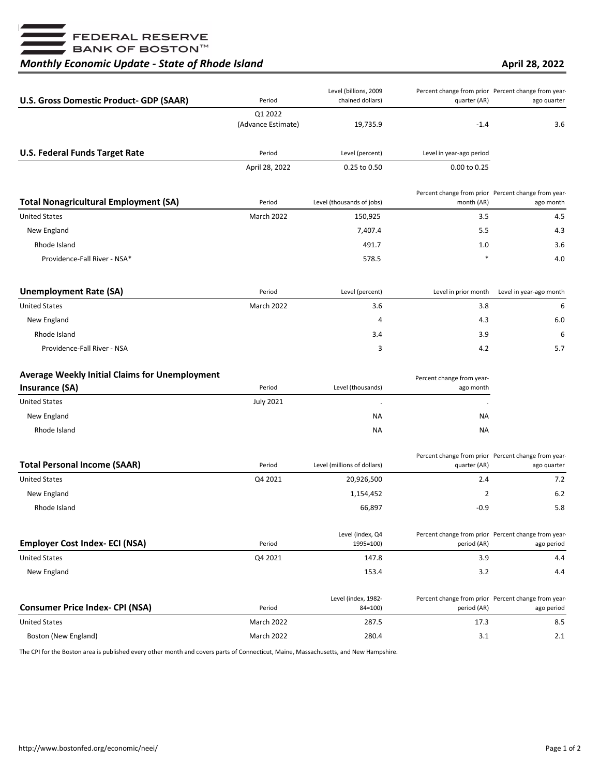■<br>■ FEDERAL RESERVE<br>■ BANK OF BOSTON™

## *Monthly Economic Update - State of Rhode Island*

**April 28, 2022**

| <b>U.S. Gross Domestic Product- GDP (SAAR)</b>        | Period             | Level (billions, 2009<br>chained dollars) | quarter (AR)              | Percent change from prior Percent change from year-<br>ago quarter |
|-------------------------------------------------------|--------------------|-------------------------------------------|---------------------------|--------------------------------------------------------------------|
|                                                       | Q1 2022            |                                           |                           |                                                                    |
|                                                       | (Advance Estimate) | 19,735.9                                  | $-1.4$                    | 3.6                                                                |
| <b>U.S. Federal Funds Target Rate</b>                 | Period             | Level (percent)                           | Level in year-ago period  |                                                                    |
|                                                       | April 28, 2022     | 0.25 to 0.50                              | 0.00 to 0.25              |                                                                    |
| <b>Total Nonagricultural Employment (SA)</b>          | Period             | Level (thousands of jobs)                 | month (AR)                | Percent change from prior Percent change from year-<br>ago month   |
| <b>United States</b>                                  | March 2022         | 150,925                                   | 3.5                       | 4.5                                                                |
| New England                                           |                    | 7,407.4                                   | 5.5                       | 4.3                                                                |
| Rhode Island                                          |                    | 491.7                                     | 1.0                       | 3.6                                                                |
| Providence-Fall River - NSA*                          |                    | 578.5                                     | $\ast$                    | 4.0                                                                |
| <b>Unemployment Rate (SA)</b>                         | Period             | Level (percent)                           | Level in prior month      | Level in year-ago month                                            |
| <b>United States</b>                                  | <b>March 2022</b>  | 3.6                                       | 3.8                       | 6                                                                  |
| New England                                           |                    | 4                                         | 4.3                       | 6.0                                                                |
| Rhode Island                                          |                    | 3.4                                       | 3.9                       | 6                                                                  |
| Providence-Fall River - NSA                           |                    | 3                                         | 4.2                       | 5.7                                                                |
| <b>Average Weekly Initial Claims for Unemployment</b> |                    |                                           | Percent change from year- |                                                                    |
| <b>Insurance (SA)</b>                                 | Period             | Level (thousands)                         | ago month                 |                                                                    |
| <b>United States</b>                                  | <b>July 2021</b>   | $\cdot$                                   |                           |                                                                    |
| New England                                           |                    | <b>NA</b>                                 | <b>NA</b>                 |                                                                    |
| Rhode Island                                          |                    | NA                                        | ΝA                        |                                                                    |
| <b>Total Personal Income (SAAR)</b>                   | Period             | Level (millions of dollars)               | quarter (AR)              | Percent change from prior Percent change from year-<br>ago quarter |
| <b>United States</b>                                  | Q4 2021            | 20,926,500                                | 2.4                       | 7.2                                                                |
| New England                                           |                    | 1,154,452                                 | 2                         | 6.2                                                                |
| Rhode Island                                          |                    | 66,897                                    | $-0.9$                    | 5.8                                                                |
| <b>Employer Cost Index- ECI (NSA)</b>                 | Period             | Level (index, Q4<br>1995=100)             | period (AR)               | Percent change from prior Percent change from year-<br>ago period  |
| <b>United States</b>                                  | Q4 2021            | 147.8                                     | 3.9                       | 4.4                                                                |
| New England                                           |                    | 153.4                                     | 3.2                       | 4.4                                                                |
|                                                       |                    | Level (index, 1982-                       |                           | Percent change from prior Percent change from year-                |
| <b>Consumer Price Index- CPI (NSA)</b>                | Period             | $84 = 100$                                | period (AR)               | ago period                                                         |
| <b>United States</b>                                  | March 2022         | 287.5                                     | 17.3                      | 8.5                                                                |
| Boston (New England)                                  | March 2022         | 280.4                                     | 3.1                       | 2.1                                                                |

The CPI for the Boston area is published every other month and covers parts of Connecticut, Maine, Massachusetts, and New Hampshire.